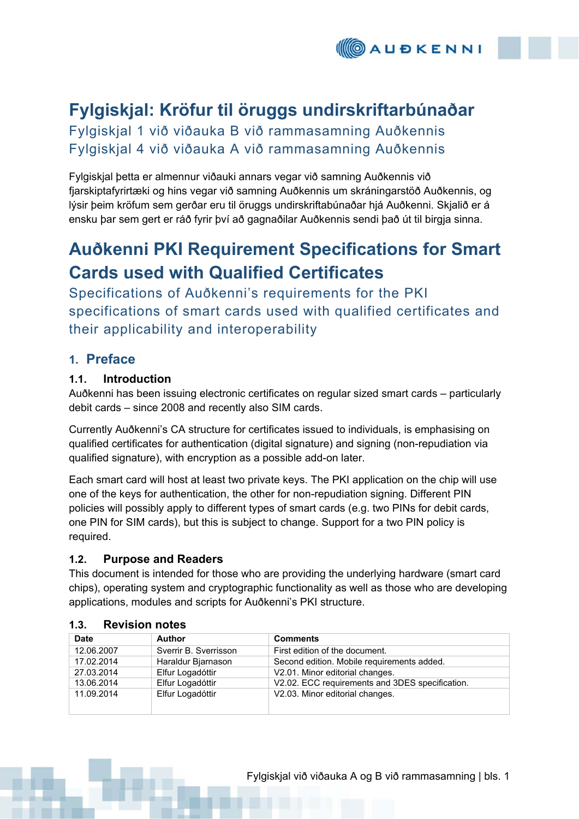# **Fylgiskjal: Kröfur til öruggs undirskriftarbúnaðar**

Fylgiskjal 1 við viðauka B við rammasamning Auðkennis Fylgiskjal 4 við viðauka A við rammasamning Auðkennis

Fylgiskjal þetta er almennur viðauki annars vegar við samning Auðkennis við fjarskiptafyrirtæki og hins vegar við samning Auðkennis um skráningarstöð Auðkennis, og lýsir þeim kröfum sem gerðar eru til öruggs undirskriftabúnaðar hjá Auðkenni. Skjalið er á ensku þar sem gert er ráð fyrir því að gagnaðilar Auðkennis sendi það út til birgja sinna.

# **Auðkenni PKI Requirement Specifications for Smart Cards used with Qualified Certificates**

Specifications of Auðkenni's requirements for the PKI specifications of smart cards used with qualified certificates and their applicability and interoperability

# **1. Preface**

# **1.1. Introduction**

Auðkenni has been issuing electronic certificates on regular sized smart cards – particularly debit cards – since 2008 and recently also SIM cards.

Currently Auðkenni's CA structure for certificates issued to individuals, is emphasising on qualified certificates for authentication (digital signature) and signing (non-repudiation via qualified signature), with encryption as a possible add-on later.

Each smart card will host at least two private keys. The PKI application on the chip will use one of the keys for authentication, the other for non-repudiation signing. Different PIN policies will possibly apply to different types of smart cards (e.g. two PINs for debit cards, one PIN for SIM cards), but this is subject to change. Support for a two PIN policy is required.

# **1.2. Purpose and Readers**

This document is intended for those who are providing the underlying hardware (smart card chips), operating system and cryptographic functionality as well as those who are developing applications, modules and scripts for Auðkenni's PKI structure.

| <b>Date</b> | Author                | <b>Comments</b>                                 |
|-------------|-----------------------|-------------------------------------------------|
| 12.06.2007  | Sverrir B. Sverrisson | First edition of the document.                  |
| 17.02.2014  | Haraldur Bjarnason    | Second edition. Mobile requirements added.      |
| 27.03.2014  | Elfur Logadóttir      | V2.01. Minor editorial changes.                 |
| 13.06.2014  | Elfur Logadóttir      | V2.02. ECC requirements and 3DES specification. |
| 11.09.2014  | Elfur Logadóttir      | V2.03. Minor editorial changes.                 |

# **1.3. Revision notes**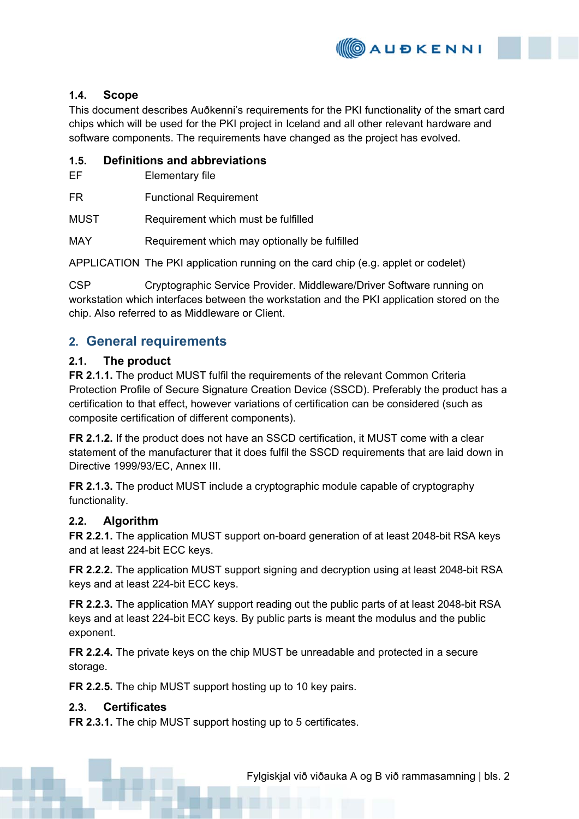

## **1.4. Scope**

This document describes Auðkenni's requirements for the PKI functionality of the smart card chips which will be used for the PKI project in Iceland and all other relevant hardware and software components. The requirements have changed as the project has evolved.

### **1.5. Definitions and abbreviations**

EF Elementary file

FR Functional Requirement

MUST Requirement which must be fulfilled

MAY Requirement which may optionally be fulfilled

APPLICATION The PKI application running on the card chip (e.g. applet or codelet)

CSP Cryptographic Service Provider. Middleware/Driver Software running on workstation which interfaces between the workstation and the PKI application stored on the chip. Also referred to as Middleware or Client.

# **2. General requirements**

### **2.1. The product**

**FR 2.1.1.** The product MUST fulfil the requirements of the relevant Common Criteria Protection Profile of Secure Signature Creation Device (SSCD). Preferably the product has a certification to that effect, however variations of certification can be considered (such as composite certification of different components).

**FR 2.1.2.** If the product does not have an SSCD certification, it MUST come with a clear statement of the manufacturer that it does fulfil the SSCD requirements that are laid down in Directive 1999/93/EC, Annex III.

**FR 2.1.3.** The product MUST include a cryptographic module capable of cryptography functionality.

#### **2.2. Algorithm**

**FR 2.2.1.** The application MUST support on-board generation of at least 2048-bit RSA keys and at least 224-bit ECC keys.

**FR 2.2.2.** The application MUST support signing and decryption using at least 2048-bit RSA keys and at least 224-bit ECC keys.

**FR 2.2.3.** The application MAY support reading out the public parts of at least 2048-bit RSA keys and at least 224-bit ECC keys. By public parts is meant the modulus and the public exponent.

**FR 2.2.4.** The private keys on the chip MUST be unreadable and protected in a secure storage.

**FR 2.2.5.** The chip MUST support hosting up to 10 key pairs.

#### **2.3. Certificates**

**FR 2.3.1.** The chip MUST support hosting up to 5 certificates.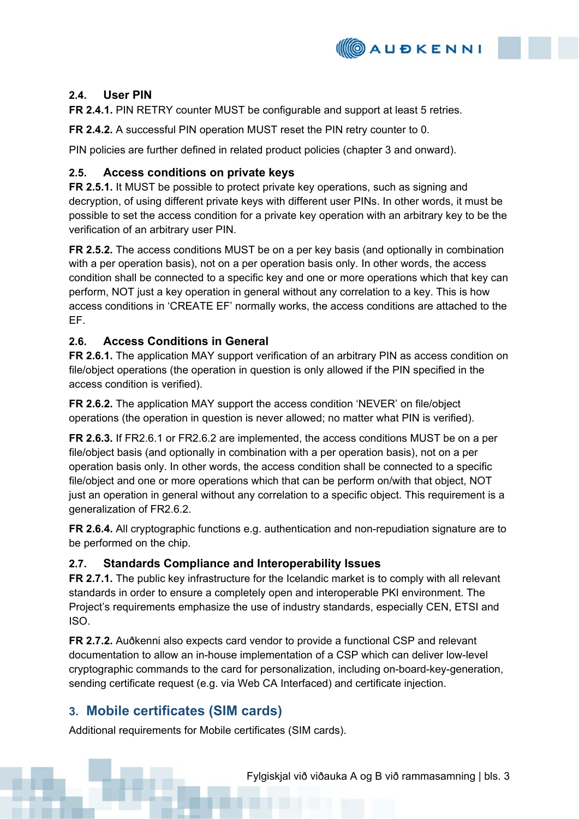

# **2.4. User PIN**

**FR 2.4.1.** PIN RETRY counter MUST be configurable and support at least 5 retries.

**FR 2.4.2.** A successful PIN operation MUST reset the PIN retry counter to 0.

PIN policies are further defined in related product policies (chapter 3 and onward).

## **2.5. Access conditions on private keys**

**FR 2.5.1.** It MUST be possible to protect private key operations, such as signing and decryption, of using different private keys with different user PINs. In other words, it must be possible to set the access condition for a private key operation with an arbitrary key to be the verification of an arbitrary user PIN.

**FR 2.5.2.** The access conditions MUST be on a per key basis (and optionally in combination with a per operation basis), not on a per operation basis only. In other words, the access condition shall be connected to a specific key and one or more operations which that key can perform, NOT just a key operation in general without any correlation to a key. This is how access conditions in 'CREATE EF' normally works, the access conditions are attached to the EF.

# **2.6. Access Conditions in General**

**FR 2.6.1.** The application MAY support verification of an arbitrary PIN as access condition on file/object operations (the operation in question is only allowed if the PIN specified in the access condition is verified).

**FR 2.6.2.** The application MAY support the access condition 'NEVER' on file/object operations (the operation in question is never allowed; no matter what PIN is verified).

**FR 2.6.3.** If FR2.6.1 or FR2.6.2 are implemented, the access conditions MUST be on a per file/object basis (and optionally in combination with a per operation basis), not on a per operation basis only. In other words, the access condition shall be connected to a specific file/object and one or more operations which that can be perform on/with that object, NOT just an operation in general without any correlation to a specific object. This requirement is a generalization of FR2.6.2.

**FR 2.6.4.** All cryptographic functions e.g. authentication and non-repudiation signature are to be performed on the chip.

# **2.7. Standards Compliance and Interoperability Issues**

**FR 2.7.1.** The public key infrastructure for the Icelandic market is to comply with all relevant standards in order to ensure a completely open and interoperable PKI environment. The Project's requirements emphasize the use of industry standards, especially CEN, ETSI and ISO.

**FR 2.7.2.** Auðkenni also expects card vendor to provide a functional CSP and relevant documentation to allow an in-house implementation of a CSP which can deliver low-level cryptographic commands to the card for personalization, including on-board-key-generation, sending certificate request (e.g. via Web CA Interfaced) and certificate injection.

# **3. Mobile certificates (SIM cards)**

Additional requirements for Mobile certificates (SIM cards).